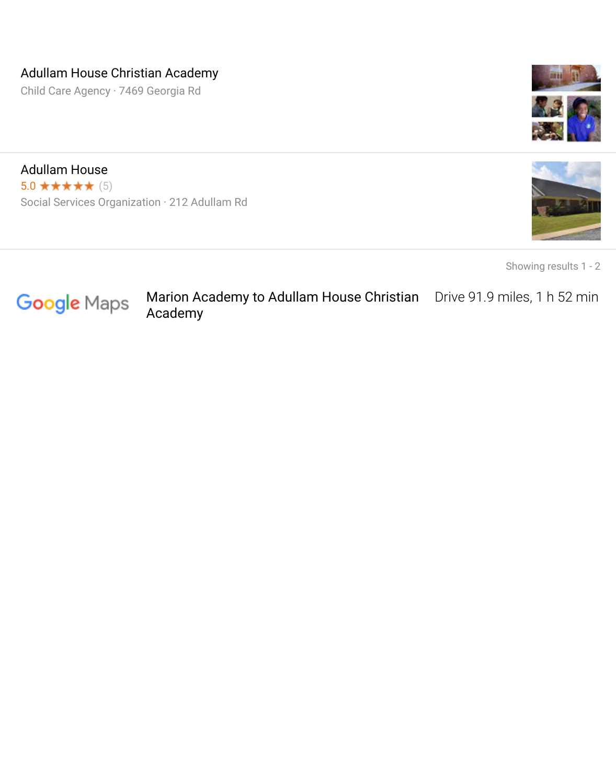## Adullam House Christian Academy

Child Care Agency · 7469 Georgia Rd



Adullam House  $5.0$  \*\*\*\*\* (5) Social Services Organization · 212 Adullam Rd



Showing results 1 - 2



Marion Academy to Adullam House Christian Drive 91.9 miles, 1 h 52 min Academy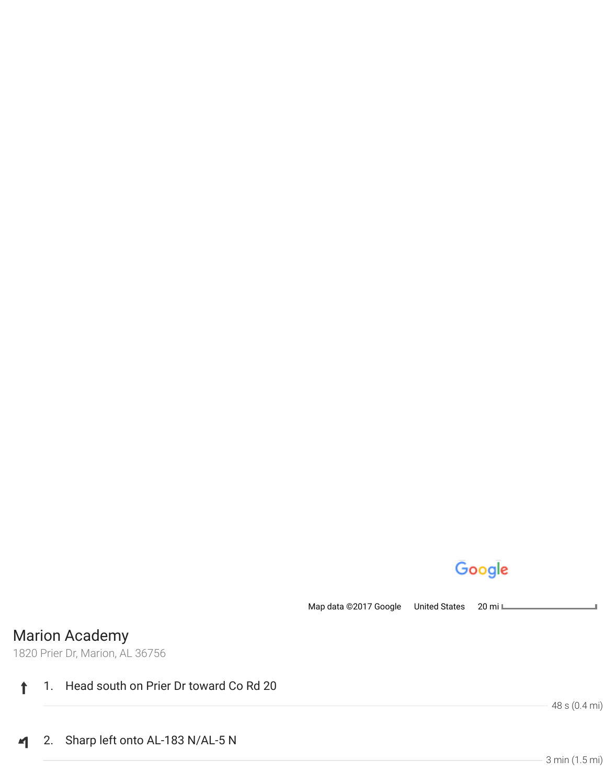## Google

Map data ©2017 Google United States 20 mill

Marion Academy

1820 Prier Dr, Marion, AL 36756

## 1. Head south on Prier Dr toward Co Rd 20  $\ddagger$

48 s (0.4 mi)

2. Sharp left onto AL-183 N/AL-5 N  $\blacktriangleleft$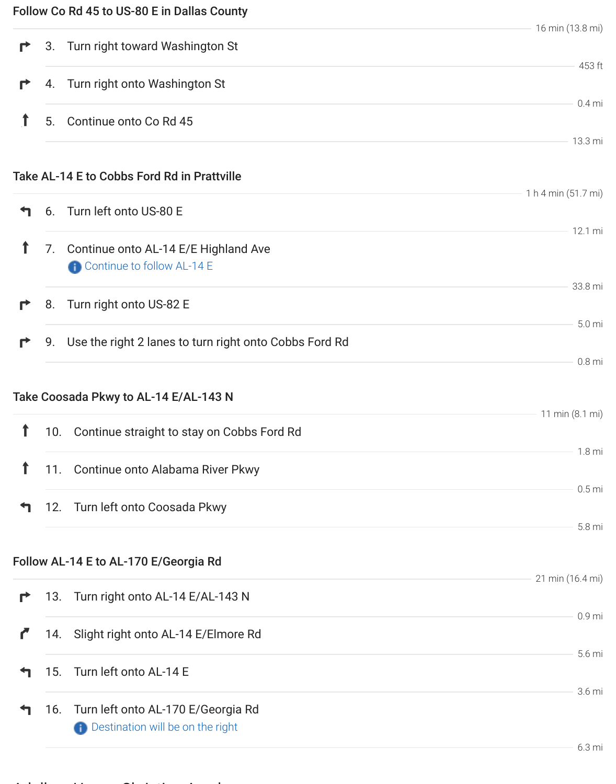|   |     |                                                           | 16 min (13.8 mi)    |
|---|-----|-----------------------------------------------------------|---------------------|
| r | 3.  | Turn right toward Washington St                           |                     |
| r |     | 4. Turn right onto Washington St                          | 453 ft              |
|   | 5.  | Continue onto Co Rd 45                                    | $0.4$ mi            |
|   |     |                                                           | 13.3 mi             |
|   |     | Take AL-14 E to Cobbs Ford Rd in Prattville               |                     |
|   |     | 6. Turn left onto US-80 E                                 | 1 h 4 min (51.7 mi) |
|   |     |                                                           | 12.1 mi             |
| ↑ |     | 7. Continue onto AL-14 E/E Highland Ave                   |                     |
|   |     | Continue to follow AL-14 E                                | 33.8 mi             |
| r | 8.  | Turn right onto US-82 E                                   |                     |
|   |     |                                                           | 5.0 <sub>mi</sub>   |
| r |     | 9. Use the right 2 lanes to turn right onto Cobbs Ford Rd | $0.8$ mi            |
|   |     |                                                           |                     |
|   |     | Take Coosada Pkwy to AL-14 E/AL-143 N                     | 11 min (8.1 mi)     |
| ↑ |     | 10. Continue straight to stay on Cobbs Ford Rd            |                     |
| 1 |     | 11. Continue onto Alabama River Pkwy                      | 1.8 <sub>mi</sub>   |
|   |     |                                                           | $0.5$ mi            |
|   |     | 12. Turn left onto Coosada Pkwy                           |                     |
|   |     |                                                           | 5.8 mi              |
|   |     | Follow AL-14 E to AL-170 E/Georgia Rd                     |                     |
|   |     |                                                           | 21 min (16.4 mi)    |
| r | 13. | Turn right onto AL-14 E/AL-143 N                          | $0.9$ mi            |
|   | 14. | Slight right onto AL-14 E/Elmore Rd                       |                     |
|   |     |                                                           | 5.6 mi              |
|   | 15. | Turn left onto AL-14 E                                    | 3.6 mi              |
|   | 16. | Turn left onto AL-170 E/Georgia Rd                        |                     |
|   |     | Destination will be on the right                          | 6.3 mi              |
|   |     |                                                           |                     |